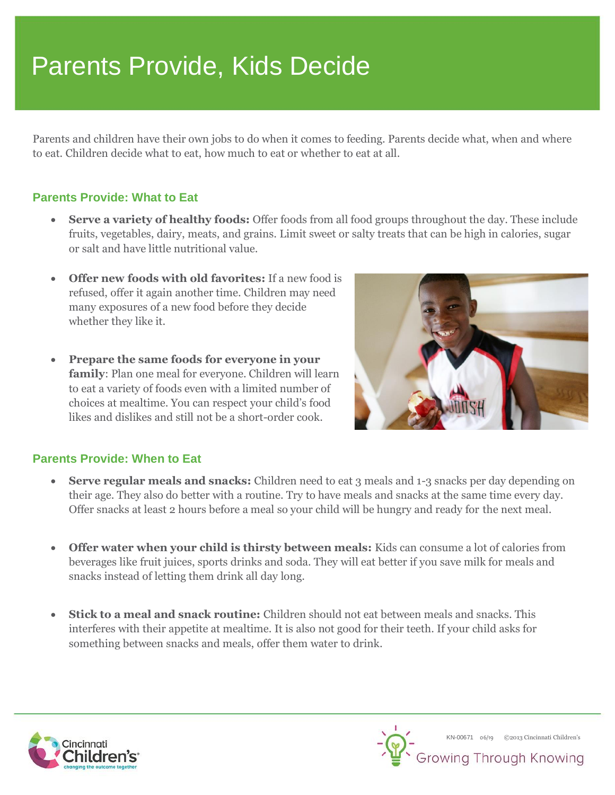# Parents Provide, Kids Decide

Parents and children have their own jobs to do when it comes to feeding. Parents decide what, when and where to eat. Children decide what to eat, how much to eat or whether to eat at all.

## **Parents Provide: What to Eat**

- **Serve a variety of healthy foods:** Offer foods from all food groups throughout the day. These include fruits, vegetables, dairy, meats, and grains. Limit sweet or salty treats that can be high in calories, sugar or salt and have little nutritional value.
- **Offer new foods with old favorites:** If a new food is refused, offer it again another time. Children may need many exposures of a new food before they decide whether they like it.
- **Prepare the same foods for everyone in your family**: Plan one meal for everyone. Children will learn to eat a variety of foods even with a limited number of choices at mealtime. You can respect your child's food likes and dislikes and still not be a short-order cook.



#### **Parents Provide: When to Eat**

- **Serve regular meals and snacks:** Children need to eat 3 meals and 1-3 snacks per day depending on their age. They also do better with a routine. Try to have meals and snacks at the same time every day. Offer snacks at least 2 hours before a meal so your child will be hungry and ready for the next meal.
- **Offer water when your child is thirsty between meals:** Kids can consume a lot of calories from beverages like fruit juices, sports drinks and soda. They will eat better if you save milk for meals and snacks instead of letting them drink all day long.
- **Stick to a meal and snack routine:** Children should not eat between meals and snacks. This interferes with their appetite at mealtime. It is also not good for their teeth. If your child asks for something between snacks and meals, offer them water to drink.